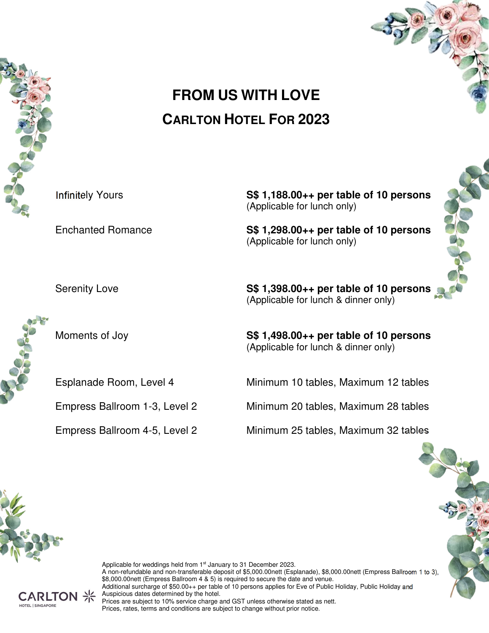

# **FROM US WITH LOVE CARLTON HOTEL FOR 2023**

Infinitely Yours **S\$ 1,188.00++ per table of 10 persons** 

(Applicable for lunch only)

Enchanted Romance **S\$ 1,298.00++ per table of 10 persons**  (Applicable for lunch only)

Serenity Love **S\$ 1,398.00++ per table of 10 persons**  (Applicable for lunch & dinner only)

Moments of Joy **S\$ 1,498.00++ per table of 10 persons** (Applicable for lunch & dinner only)

Esplanade Room, Level 4 Minimum 10 tables, Maximum 12 tables

Empress Ballroom 1-3, Level 2 Minimum 20 tables, Maximum 28 tables

Empress Ballroom 4-5, Level 2 Minimum 25 tables, Maximum 32 tables

Applicable for weddings held from 1<sup>st</sup> January to 31 December 2023. A non-refundable and non-transferable deposit of \$5,000.00nett (Esplanade), \$8,000.00nett (Empress Ballroom 1 to 3), \$8,000.00nett (Empress Ballroom 4 & 5) is required to secure the date and venue. Additional surcharge of \$50.00++ per table of 10 persons applies for Eve of Public Holiday, Public Holiday and Auspicious dates determined by the hotel. Prices are subject to 10% service charge and GST unless otherwise stated as nett. Prices, rates, terms and conditions are subject to change without prior notice.

HOTEL I SINGAPORI





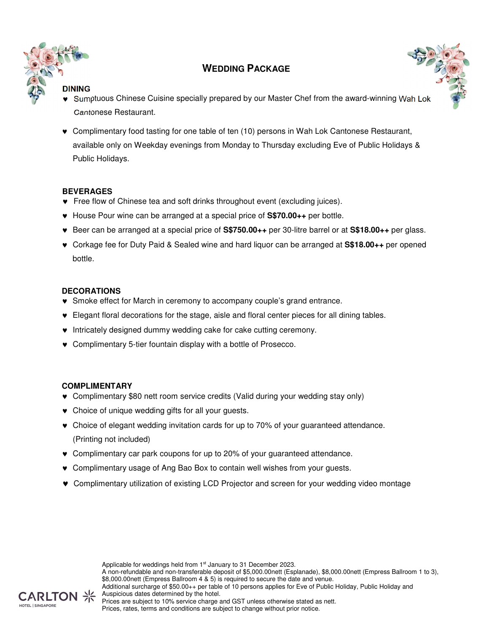

# **WEDDING PACKAGE**



# **DINING**

- ♥ Sumptuous Chinese Cuisine specially prepared by our Master Chef from the award-winning Wah Lok Cantonese Restaurant.
- ♥ Complimentary food tasting for one table of ten (10) persons in Wah Lok Cantonese Restaurant, available only on Weekday evenings from Monday to Thursday excluding Eve of Public Holidays & Public Holidays.

#### **BEVERAGES**

- ♥ Free flow of Chinese tea and soft drinks throughout event (excluding juices).
- ♥ House Pour wine can be arranged at a special price of **S\$70.00++** per bottle.
- ♥ Beer can be arranged at a special price of **S\$750.00++** per 30-litre barrel or at **S\$18.00++** per glass.
- ♥ Corkage fee for Duty Paid & Sealed wine and hard liquor can be arranged at **S\$18.00++** per opened bottle.

#### **DECORATIONS**

- ♥ Smoke effect for March in ceremony to accompany couple's grand entrance.
- ♥ Elegant floral decorations for the stage, aisle and floral center pieces for all dining tables.
- ♥ Intricately designed dummy wedding cake for cake cutting ceremony.
- ♥ Complimentary 5-tier fountain display with a bottle of Prosecco.

#### **COMPLIMENTARY**

- ♥ Complimentary \$80 nett room service credits (Valid during your wedding stay only)
- ♥ Choice of unique wedding gifts for all your guests.
- ♥ Choice of elegant wedding invitation cards for up to 70% of your guaranteed attendance. (Printing not included)
- ♥ Complimentary car park coupons for up to 20% of your guaranteed attendance.
- ♥ Complimentary usage of Ang Bao Box to contain well wishes from your guests.
- ♥ Complimentary utilization of existing LCD Projector and screen for your wedding video montage

Applicable for weddings held from 1<sup>st</sup> January to 31 December 2023. A non-refundable and non-transferable deposit of \$5,000.00nett (Esplanade), \$8,000.00nett (Empress Ballroom 1 to 3), \$8,000.00nett (Empress Ballroom 4 & 5) is required to secure the date and venue. Additional surcharge of \$50.00++ per table of 10 persons applies for Eve of Public Holiday, Public Holiday and Auspicious dates determined by the hotel.

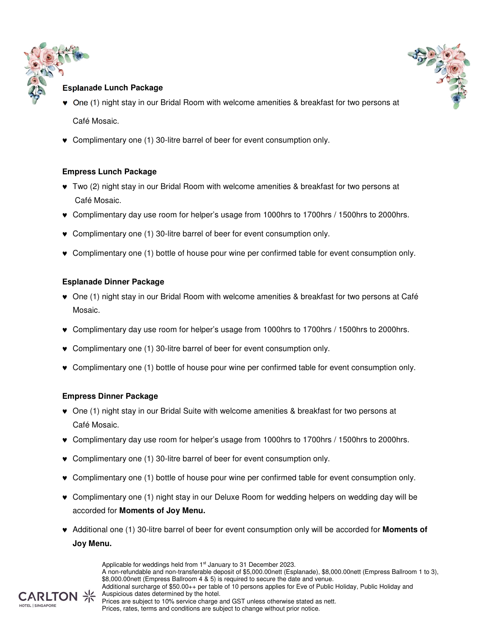



# **Esplanade Lunch Package**

- ♥ One (1) night stay in our Bridal Room with welcome amenities & breakfast for two persons at Café Mosaic.
- ♥ Complimentary one (1) 30-litre barrel of beer for event consumption only.

#### **Empress Lunch Package**

- ♥ Two (2) night stay in our Bridal Room with welcome amenities & breakfast for two persons at Café Mosaic.
- ♥ Complimentary day use room for helper's usage from 1000hrs to 1700hrs / 1500hrs to 2000hrs.
- ♥ Complimentary one (1) 30-litre barrel of beer for event consumption only.
- ♥ Complimentary one (1) bottle of house pour wine per confirmed table for event consumption only.

#### **Esplanade Dinner Package**

- ♥ One (1) night stay in our Bridal Room with welcome amenities & breakfast for two persons at Café Mosaic.
- ♥ Complimentary day use room for helper's usage from 1000hrs to 1700hrs / 1500hrs to 2000hrs.
- ♥ Complimentary one (1) 30-litre barrel of beer for event consumption only.
- ♥ Complimentary one (1) bottle of house pour wine per confirmed table for event consumption only.

#### **Empress Dinner Package**

- ♥ One (1) night stay in our Bridal Suite with welcome amenities & breakfast for two persons at Café Mosaic.
- ♥ Complimentary day use room for helper's usage from 1000hrs to 1700hrs / 1500hrs to 2000hrs.
- ♥ Complimentary one (1) 30-litre barrel of beer for event consumption only.
- ♥ Complimentary one (1) bottle of house pour wine per confirmed table for event consumption only.
- ♥ Complimentary one (1) night stay in our Deluxe Room for wedding helpers on wedding day will be accorded for **Moments of Joy Menu.**
- ♥ Additional one (1) 30-litre barrel of beer for event consumption only will be accorded for **Moments of Joy Menu.**



A non-refundable and non-transferable deposit of \$5,000.00nett (Esplanade), \$8,000.00nett (Empress Ballroom 1 to 3), \$8,000.00nett (Empress Ballroom 4 & 5) is required to secure the date and venue. Additional surcharge of \$50.00++ per table of 10 persons applies for Eve of Public Holiday, Public Holiday and Auspicious dates determined by the hotel. Prices are subject to 10% service charge and GST unless otherwise stated as nett. Prices, rates, terms and conditions are subject to change without prior notice.

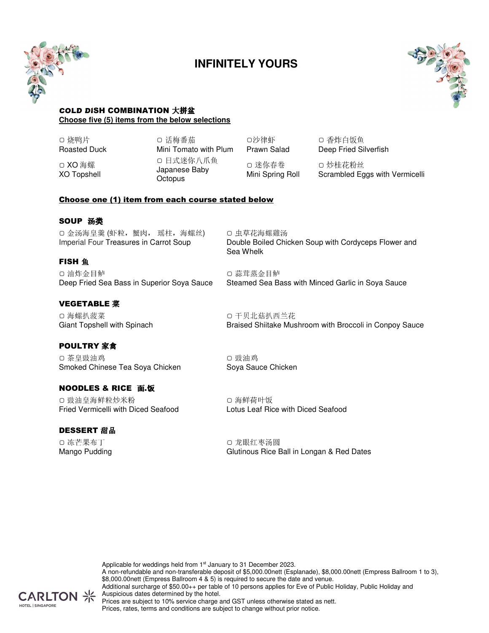

# **INFINITELY YOURS**



#### COLD DISH COMBINATION 大拼盆 **Choose five (5) items from the below selections**

▢ 烧鸭片 Roasted Duck

▢ XO 海螺 XO Topshell ▢ 话梅番茄 Mini Tomato with Plum ▢ 日式迷你八爪鱼 Japanese Baby **Octopus** 

▢沙律虾 Prawn Salad ▢ 迷你春卷 Mini Spring Roll

▢ 香炸白饭鱼 Deep Fried Silverfish

▢ 炒桂花粉丝 Scrambled Eggs with Vermicelli

#### Choose one (1) item from each course stated below

#### SOUP 汤类

▢ 金汤海皇羹 (虾粒,蟹肉, 瑶柱,海螺丝) Imperial Four Treasures in Carrot Soup

#### **FISH** 鱼

▢ 油炸金目鲈 Deep Fried Sea Bass in Superior Soya Sauce

#### VEGETABLE 菜

▢ 海螺扒菠菜 Giant Topshell with Spinach

# POULTRY 家禽

▢ 茶皇豉油鸡 Smoked Chinese Tea Soya Chicken

#### NOODLES & RICE 面.饭

▢ 豉油皇海鲜粒炒米粉 Fried Vermicelli with Diced Seafood

#### DESSERT 甜品

▢ 冻芒果布丁 Mango Pudding ▢ 干贝北菇扒西兰花 Braised Shiitake Mushroom with Broccoli in Conpoy Sauce

Double Boiled Chicken Soup with Cordyceps Flower and

Steamed Sea Bass with Minced Garlic in Soya Sauce

▢ 豉油鸡 Soya Sauce Chicken

▢ 虫草花海螺雞汤

▢ 蒜茸蒸金目鲈

Sea Whelk

▢ 海鲜荷叶饭 Lotus Leaf Rice with Diced Seafood

▢ 龙眼红枣汤圆 Glutinous Rice Ball in Longan & Red Dates

Applicable for weddings held from 1<sup>st</sup> January to 31 December 2023.

A non-refundable and non-transferable deposit of \$5,000.00nett (Esplanade), \$8,000.00nett (Empress Ballroom 1 to 3), \$8,000.00nett (Empress Ballroom 4 & 5) is required to secure the date and venue. Additional surcharge of \$50.00++ per table of 10 persons applies for Eve of Public Holiday, Public Holiday and **CARLTON** > Auspicious dates determined by the hotel. Prices are subject to 10% service charge and GST unless otherwise stated as nett.



Prices, rates, terms and conditions are subject to change without prior notice.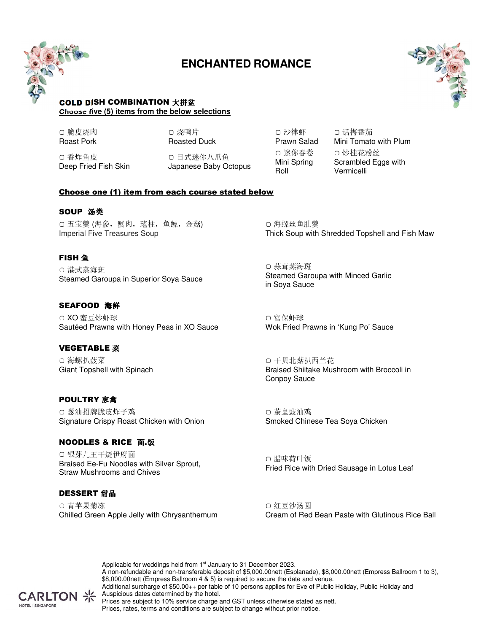

# **ENCHANTED ROMANCE**



#### COLD DISH COMBINATION 大拼盆 **Choose five (5) items from the below selections**

▢ 脆皮烧肉 Roast Pork

▢ 烧鸭片 Roasted Duck

▢ 香炸鱼皮 Deep Fried Fish Skin

▢ 日式迷你八爪鱼 Japanese Baby Octopus

▢ 沙律虾 Prawn Salad ▢ 迷你春卷 Mini Spring Roll

▢ 话梅番茄 Mini Tomato with Plum ▢ 炒桂花粉丝 Scrambled Eggs with Vermicelli

#### Choose one (1) item from each course stated below

#### SOUP 汤类

▢ 五宝羹 (海參,蟹肉,瑤柱,鱼鳔,金菇) Imperial Five Treasures Soup

#### **FISH** 鱼

▢ 港式蒸海斑 Steamed Garoupa in Superior Soya Sauce

# SEAFOOD 海鲜

▢ XO 蜜豆炒虾球 Sautéed Prawns with Honey Peas in XO Sauce

#### VEGETABLE 菜

▢ 海螺扒菠菜 Giant Topshell with Spinach

#### POULTRY 家禽

▢ 葱油招牌脆皮炸子鸡 Signature Crispy Roast Chicken with Onion

#### NOODLES & RICE 面.饭

▢ 银芽九王干烧伊府面 Braised Ee-Fu Noodles with Silver Sprout, Straw Mushrooms and Chives

#### DESSERT 甜品

▢ 青苹果菊冻 Chilled Green Apple Jelly with Chrysanthemum

▢ 海螺丝鱼肚羹 Thick Soup with Shredded Topshell and Fish Maw

▢ 蒜茸蒸海斑 Steamed Garoupa with Minced Garlic in Soya Sauce

▢ 宮保虾球 Wok Fried Prawns in 'Kung Po' Sauce

▢ 干贝北菇扒西兰花 Braised Shiitake Mushroom with Broccoli in Conpoy Sauce

▢ 茶皇豉油鸡 Smoked Chinese Tea Soya Chicken

▢ 腊味荷叶饭 Fried Rice with Dried Sausage in Lotus Leaf

▢ 红豆沙汤圆 Cream of Red Bean Paste with Glutinous Rice Ball

Applicable for weddings held from 1<sup>st</sup> January to 31 December 2023. A non-refundable and non-transferable deposit of \$5,000.00nett (Esplanade), \$8,000.00nett (Empress Ballroom 1 to 3), \$8,000.00nett (Empress Ballroom 4 & 5) is required to secure the date and venue. Additional surcharge of \$50.00++ per table of 10 persons applies for Eve of Public Holiday, Public Holiday and **CARLTON** > Auspicious dates determined by the hotel. Prices are subject to 10% service charge and GST unless otherwise stated as nett. Prices, rates, terms and conditions are subject to change without prior notice.

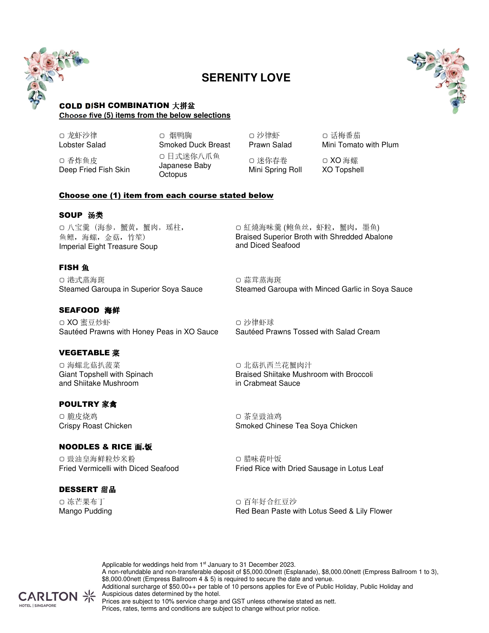

# **SERENITY LOVE**



#### COLD DISH COMBINATION 大拼盆 **Choose five (5) items from the below selections**

▢ 龙虾沙律 Lobster Salad

▢ 香炸鱼皮 Deep Fried Fish Skin ▢ 烟鸭胸 Smoked Duck Breast ▢ 日式迷你八爪鱼 Japanese Baby **Octopus** 

▢ 沙律虾 Prawn Salad ▢ 迷你春卷 Mini Spring Roll

▢ 话梅番茄 Mini Tomato with Plum

▢ XO 海螺 XO Topshell

#### Choose one (1) item from each course stated below

#### SOUP 汤类

▢ 八宝羹 (海参,蟹黄,蟹肉,瑶柱, 鱼鳔,海螺,金菇,竹笙) Imperial Eight Treasure Soup

# **FISH** 鱼

▢ 港式蒸海斑 Steamed Garoupa in Superior Soya Sauce

#### SEAFOOD 海鲜

▢ XO 蜜豆炒虾 Sautéed Prawns with Honey Peas in XO Sauce

#### VEGETABLE 菜

▢ 海螺北菇扒菠菜 Giant Topshell with Spinach and Shiitake Mushroom

# POULTRY 家禽

▢ 脆皮烧鸡 Crispy Roast Chicken

#### NOODLES & RICE 面.饭

▢ 豉油皇海鲜粒炒米粉 Fried Vermicelli with Diced Seafood

# **DESSERT 甜品**

▢ 冻芒果布丁 Mango Pudding ▢ 紅燒海味羹 (鲍鱼丝,虾粒,蟹肉,墨鱼) Braised Superior Broth with Shredded Abalone and Diced Seafood

▢ 蒜茸蒸海斑 Steamed Garoupa with Minced Garlic in Soya Sauce

▢ 沙律虾球 Sautéed Prawns Tossed with Salad Cream

▢ 北菇扒西兰花蟹肉汁 Braised Shiitake Mushroom with Broccoli in Crabmeat Sauce

▢ 茶皇豉油鸡 Smoked Chinese Tea Soya Chicken

▢ 腊味荷叶饭 Fried Rice with Dried Sausage in Lotus Leaf

▢ 百年好合红豆沙 Red Bean Paste with Lotus Seed & Lily Flower

Applicable for weddings held from 1<sup>st</sup> January to 31 December 2023. A non-refundable and non-transferable deposit of \$5,000.00nett (Esplanade), \$8,000.00nett (Empress Ballroom 1 to 3), \$8,000.00nett (Empress Ballroom 4 & 5) is required to secure the date and venue. Additional surcharge of \$50.00++ per table of 10 persons applies for Eve of Public Holiday, Public Holiday and CARLTON ><>>>>>>>>> Auspicious dates determined by the hotel. Prices are subject to 10% service charge and GST unless otherwise stated as nett. Prices, rates, terms and conditions are subject to change without prior notice.